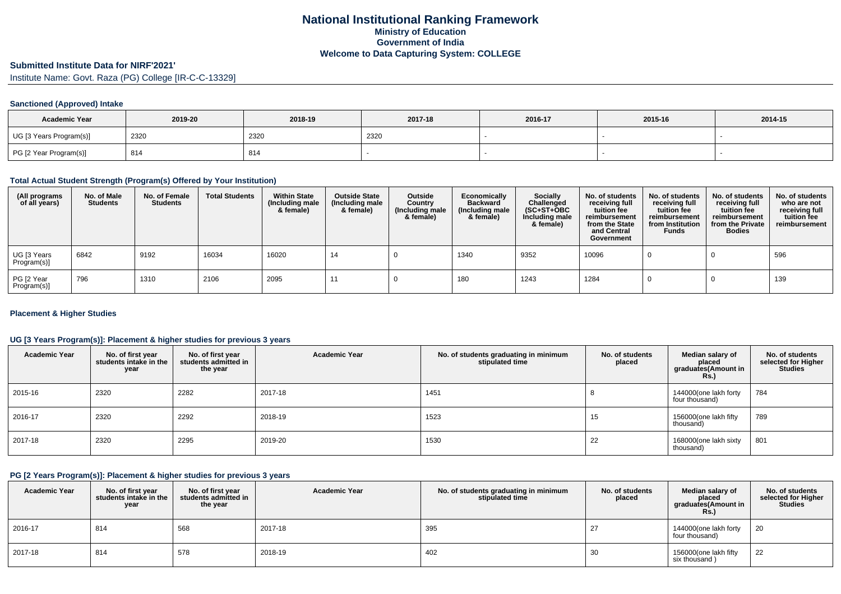# **Submitted Institute Data for NIRF'2021'**

Institute Name: Govt. Raza (PG) College [IR-C-C-13329]

### **Sanctioned (Approved) Intake**

| <b>Academic Year</b>    | 2019-20 | 2018-19 | 2017-18 | 2016-17 | 2015-16 | 2014-15 |
|-------------------------|---------|---------|---------|---------|---------|---------|
| UG [3 Years Program(s)] | 2320    | 2320    | 2320    |         |         |         |
| PG [2 Year Program(s)]  | 814     | 814     |         |         |         |         |

#### **Total Actual Student Strength (Program(s) Offered by Your Institution)**

| (All programs<br>of all years) | No. of Male<br><b>Students</b> | No. of Female<br><b>Students</b> | <b>Total Students</b> | <b>Within State</b><br>(Including male<br>& female) | <b>Outside State</b><br>(Including male<br>& female) | Outside<br>Country<br>(Including male<br>& female) | Economically<br><b>Backward</b><br>(Including male<br>& female) | <b>Socially</b><br>Challenged<br>$(SC+ST+OBC)$<br>Including male<br>& female) | No. of students<br>receiving full<br>tuition fee<br>reimbursement<br>from the State<br>and Central<br>Government | No. of students<br>receiving full<br>tuition fee<br>reimbursement<br>from Institution<br><b>Funds</b> | No. of students<br>receiving full<br>tuition fee<br>reimbursement<br>from the Private<br><b>Bodies</b> | No. of students<br>who are not<br>receiving full<br>tuition fee<br>reimbursement |
|--------------------------------|--------------------------------|----------------------------------|-----------------------|-----------------------------------------------------|------------------------------------------------------|----------------------------------------------------|-----------------------------------------------------------------|-------------------------------------------------------------------------------|------------------------------------------------------------------------------------------------------------------|-------------------------------------------------------------------------------------------------------|--------------------------------------------------------------------------------------------------------|----------------------------------------------------------------------------------|
| UG [3 Years<br>Program(s)]     | 6842                           | 9192                             | 16034                 | 16020                                               | 14                                                   |                                                    | 1340                                                            | 9352                                                                          | 10096                                                                                                            |                                                                                                       |                                                                                                        | 596                                                                              |
| PG [2 Year<br>Program(s)]      | 796                            | 1310                             | 2106                  | 2095                                                | $-11$                                                |                                                    | 180                                                             | 1243                                                                          | 1284                                                                                                             |                                                                                                       |                                                                                                        | 139                                                                              |

### **Placement & Higher Studies**

## **UG [3 Years Program(s)]: Placement & higher studies for previous 3 years**

| <b>Academic Year</b> | No. of first year<br>students intake in the<br>year | No. of first year<br>students admitted in<br>the year | <b>Academic Year</b> | No. of students graduating in minimum<br>stipulated time | No. of students<br>placed | Median salary of<br>placed<br>graduates(Amount in<br><b>Rs.)</b> | No. of students<br>selected for Higher<br><b>Studies</b> |
|----------------------|-----------------------------------------------------|-------------------------------------------------------|----------------------|----------------------------------------------------------|---------------------------|------------------------------------------------------------------|----------------------------------------------------------|
| 2015-16              | 2320                                                | 2282                                                  | 2017-18              | 1451                                                     |                           | 144000(one lakh forty<br>four thousand)                          | 784                                                      |
| 2016-17              | 2320                                                | 2292                                                  | 2018-19              | 1523                                                     | 15                        | 156000(one lakh fifty<br>thousand)                               | 789                                                      |
| 2017-18              | 2320                                                | 2295                                                  | 2019-20              | 1530                                                     | 22                        | 168000(one lakh sixty<br>thousand)                               | 801                                                      |

#### **PG [2 Years Program(s)]: Placement & higher studies for previous 3 years**

| <b>Academic Year</b> | No. of first year<br>students intake in the<br>year | No. of first vear<br>students admitted in<br>the year | <b>Academic Year</b> | No. of students graduating in minimum<br>stipulated time | No. of students<br>placed | Median salary of<br>placed<br>graduates(Amount in<br><b>Rs.)</b> | No. of students<br>selected for Higher<br><b>Studies</b> |
|----------------------|-----------------------------------------------------|-------------------------------------------------------|----------------------|----------------------------------------------------------|---------------------------|------------------------------------------------------------------|----------------------------------------------------------|
| $12016 - 17$         | 814                                                 | 568                                                   | 2017-18              | 395                                                      | 27                        | 144000(one lakh forty<br>four thousand)                          | 20                                                       |
| 2017-18              | 814                                                 | 578                                                   | 2018-19              | 402                                                      | 30                        | 156000(one lakh fifty<br>six thousand)                           | 22                                                       |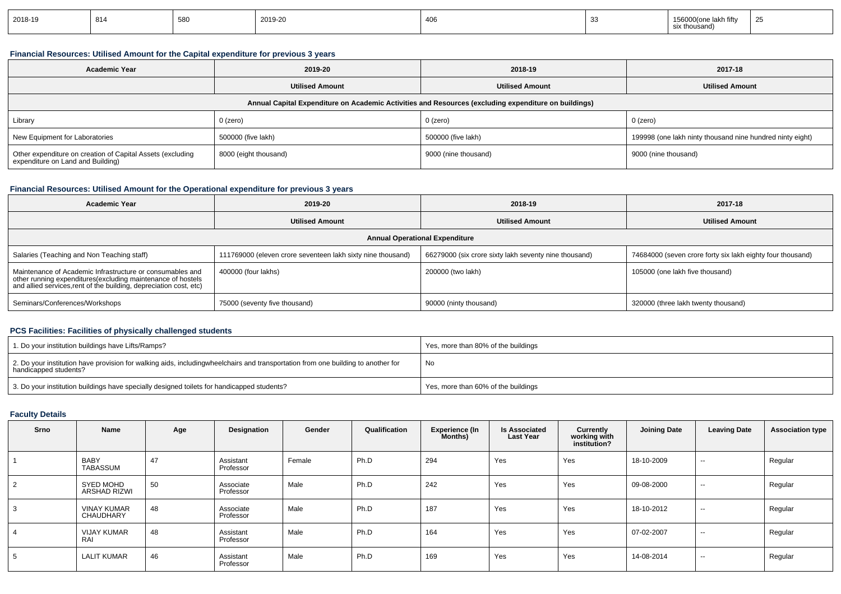| 2018-19 | $^{\prime}$ 814 | 580 | 2019-20 | 406 | ⊧lakh fiftv<br>thousand)<br>ິ | $\sim$ $\sim$<br><b>L</b> |
|---------|-----------------|-----|---------|-----|-------------------------------|---------------------------|
|         |                 |     |         |     |                               |                           |

## **Financial Resources: Utilised Amount for the Capital expenditure for previous 3 years**

| <b>Academic Year</b>                                                                                 | 2019-20                | 2018-19                | 2017-18                                                   |  |  |  |  |  |  |  |  |
|------------------------------------------------------------------------------------------------------|------------------------|------------------------|-----------------------------------------------------------|--|--|--|--|--|--|--|--|
|                                                                                                      | <b>Utilised Amount</b> | <b>Utilised Amount</b> | <b>Utilised Amount</b>                                    |  |  |  |  |  |  |  |  |
| Annual Capital Expenditure on Academic Activities and Resources (excluding expenditure on buildings) |                        |                        |                                                           |  |  |  |  |  |  |  |  |
| Library                                                                                              | $0$ (zero)             | $0$ (zero)             | $0$ (zero)                                                |  |  |  |  |  |  |  |  |
| New Equipment for Laboratories                                                                       | 500000 (five lakh)     | 500000 (five lakh)     | 199998 (one lakh ninty thousand nine hundred ninty eight) |  |  |  |  |  |  |  |  |
| Other expenditure on creation of Capital Assets (excluding<br>expenditure on Land and Building)      | 8000 (eight thousand)  | 9000 (nine thousand)   | 9000 (nine thousand)                                      |  |  |  |  |  |  |  |  |

# **Financial Resources: Utilised Amount for the Operational expenditure for previous 3 years**

| <b>Academic Year</b>                                                                                                                                                                           | 2019-20                                                     | 2018-19                                               | 2017-18                                                    |  |  |  |  |  |  |  |  |
|------------------------------------------------------------------------------------------------------------------------------------------------------------------------------------------------|-------------------------------------------------------------|-------------------------------------------------------|------------------------------------------------------------|--|--|--|--|--|--|--|--|
|                                                                                                                                                                                                | <b>Utilised Amount</b>                                      | <b>Utilised Amount</b>                                | <b>Utilised Amount</b>                                     |  |  |  |  |  |  |  |  |
| <b>Annual Operational Expenditure</b>                                                                                                                                                          |                                                             |                                                       |                                                            |  |  |  |  |  |  |  |  |
| Salaries (Teaching and Non Teaching staff)                                                                                                                                                     | 111769000 (eleven crore seventeen lakh sixty nine thousand) | 66279000 (six crore sixty lakh seventy nine thousand) | 74684000 (seven crore forty six lakh eighty four thousand) |  |  |  |  |  |  |  |  |
| Maintenance of Academic Infrastructure or consumables and<br>other running expenditures(excluding maintenance of hostels<br>and allied services, rent of the building, depreciation cost, etc) | 400000 (four lakhs)                                         | 200000 (two lakh)                                     | 105000 (one lakh five thousand)                            |  |  |  |  |  |  |  |  |
| Seminars/Conferences/Workshops                                                                                                                                                                 | 75000 (seventy five thousand)                               | 90000 (ninty thousand)                                | 320000 (three lakh twenty thousand)                        |  |  |  |  |  |  |  |  |

#### **PCS Facilities: Facilities of physically challenged students**

| 1. Do your institution buildings have Lifts/Ramps?                                                                                                        | Yes, more than 80% of the buildings |
|-----------------------------------------------------------------------------------------------------------------------------------------------------------|-------------------------------------|
| 2. Do your institution have provision for walking aids, includingwheelchairs and transportation from one building to another for<br>handicapped students? | No                                  |
| 3. Do your institution buildings have specially designed toilets for handicapped students?                                                                | Yes, more than 60% of the buildings |

## **Faculty Details**

| Srno | Name                             | Age | Designation            | Gender | Qualification | <b>Experience (In</b><br><b>Months)</b> | <b>Is Associated</b><br><b>Last Year</b> | Currently<br>working with<br>institution? | Joining Date | <b>Leaving Date</b> | <b>Association type</b> |
|------|----------------------------------|-----|------------------------|--------|---------------|-----------------------------------------|------------------------------------------|-------------------------------------------|--------------|---------------------|-------------------------|
|      | <b>BABY</b><br>TABASSUM          | 47  | Assistant<br>Professor | Female | Ph.D          | 294                                     | Yes                                      | Yes                                       | 18-10-2009   | $\sim$              | Regular                 |
|      | SYED MOHD<br><b>ARSHAD RIZWI</b> | 50  | Associate<br>Professor | Male   | Ph.D          | 242                                     | Yes                                      | Yes                                       | 09-08-2000   | $\sim$              | Regular                 |
|      | <b>VINAY KUMAR</b><br>CHAUDHARY  | 48  | Associate<br>Professor | Male   | Ph.D          | 187                                     | Yes                                      | Yes                                       | 18-10-2012   | $\sim$              | Regular                 |
|      | <b>VIJAY KUMAR</b><br>RAI        | 48  | Assistant<br>Professor | Male   | Ph.D          | 164                                     | Yes                                      | Yes                                       | 07-02-2007   | $\sim$              | Regular                 |
| 5.   | <b>LALIT KUMAR</b>               | 46  | Assistant<br>Professor | Male   | Ph.D          | 169                                     | Yes                                      | Yes                                       | 14-08-2014   | $\sim$              | Regular                 |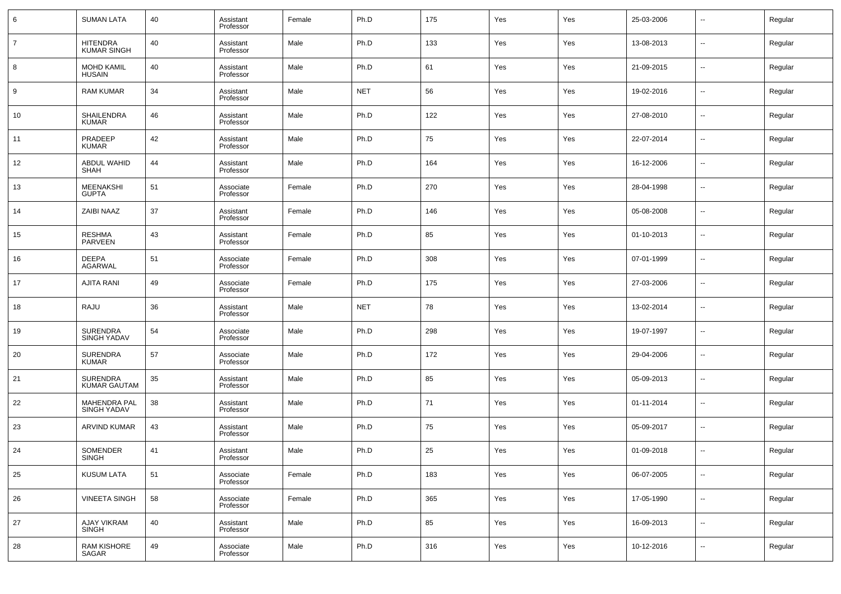| 6              | <b>SUMAN LATA</b>                         | 40 | Assistant<br>Professor | Female | Ph.D       | 175 | Yes | Yes | 25-03-2006 | $\overline{\phantom{a}}$ | Regular |
|----------------|-------------------------------------------|----|------------------------|--------|------------|-----|-----|-----|------------|--------------------------|---------|
| $\overline{7}$ | <b>HITENDRA</b><br><b>KUMAR SINGH</b>     | 40 | Assistant<br>Professor | Male   | Ph.D       | 133 | Yes | Yes | 13-08-2013 | $\overline{\phantom{a}}$ | Regular |
| 8              | <b>MOHD KAMIL</b><br><b>HUSAIN</b>        | 40 | Assistant<br>Professor | Male   | Ph.D       | 61  | Yes | Yes | 21-09-2015 | $\overline{\phantom{a}}$ | Regular |
| 9              | <b>RAM KUMAR</b>                          | 34 | Assistant<br>Professor | Male   | <b>NET</b> | 56  | Yes | Yes | 19-02-2016 | $\overline{\phantom{a}}$ | Regular |
| 10             | <b>SHAILENDRA</b><br><b>KUMAR</b>         | 46 | Assistant<br>Professor | Male   | Ph.D       | 122 | Yes | Yes | 27-08-2010 | $\overline{\phantom{a}}$ | Regular |
| 11             | PRADEEP<br><b>KUMAR</b>                   | 42 | Assistant<br>Professor | Male   | Ph.D       | 75  | Yes | Yes | 22-07-2014 | $\overline{\phantom{a}}$ | Regular |
| 12             | <b>ABDUL WAHID</b><br>SHAH                | 44 | Assistant<br>Professor | Male   | Ph.D       | 164 | Yes | Yes | 16-12-2006 | $\overline{\phantom{a}}$ | Regular |
| 13             | <b>MEENAKSHI</b><br><b>GUPTA</b>          | 51 | Associate<br>Professor | Female | Ph.D       | 270 | Yes | Yes | 28-04-1998 | $\overline{\phantom{a}}$ | Regular |
| 14             | <b>ZAIBI NAAZ</b>                         | 37 | Assistant<br>Professor | Female | Ph.D       | 146 | Yes | Yes | 05-08-2008 | $\overline{\phantom{a}}$ | Regular |
| 15             | <b>RESHMA</b><br>PARVEEN                  | 43 | Assistant<br>Professor | Female | Ph.D       | 85  | Yes | Yes | 01-10-2013 | $\overline{\phantom{a}}$ | Regular |
| 16             | <b>DEEPA</b><br>AGARWAL                   | 51 | Associate<br>Professor | Female | Ph.D       | 308 | Yes | Yes | 07-01-1999 | $\overline{\phantom{a}}$ | Regular |
| 17             | <b>AJITA RANI</b>                         | 49 | Associate<br>Professor | Female | Ph.D       | 175 | Yes | Yes | 27-03-2006 | $\overline{\phantom{a}}$ | Regular |
| 18             | RAJU                                      | 36 | Assistant<br>Professor | Male   | <b>NET</b> | 78  | Yes | Yes | 13-02-2014 | $\overline{\phantom{a}}$ | Regular |
| 19             | <b>SURENDRA</b><br><b>SINGH YADAV</b>     | 54 | Associate<br>Professor | Male   | Ph.D       | 298 | Yes | Yes | 19-07-1997 | $\overline{\phantom{a}}$ | Regular |
| 20             | <b>SURENDRA</b><br><b>KUMAR</b>           | 57 | Associate<br>Professor | Male   | Ph.D       | 172 | Yes | Yes | 29-04-2006 | $\overline{\phantom{a}}$ | Regular |
| 21             | <b>SURENDRA</b><br><b>KUMAR GAUTAM</b>    | 35 | Assistant<br>Professor | Male   | Ph.D       | 85  | Yes | Yes | 05-09-2013 | $\overline{\phantom{a}}$ | Regular |
| 22             | <b>MAHENDRA PAL</b><br><b>SINGH YADAV</b> | 38 | Assistant<br>Professor | Male   | Ph.D       | 71  | Yes | Yes | 01-11-2014 | $\overline{\phantom{a}}$ | Regular |
| 23             | <b>ARVIND KUMAR</b>                       | 43 | Assistant<br>Professor | Male   | Ph.D       | 75  | Yes | Yes | 05-09-2017 | $\overline{\phantom{a}}$ | Regular |
| 24             | <b>SOMENDER</b><br>SINGH                  | 41 | Assistant<br>Professor | Male   | Ph.D       | 25  | Yes | Yes | 01-09-2018 | $\overline{\phantom{a}}$ | Regular |
| 25             | <b>KUSUM LATA</b>                         | 51 | Associate<br>Professor | Female | Ph.D       | 183 | Yes | Yes | 06-07-2005 | $\overline{\phantom{a}}$ | Regular |
| 26             | <b>VINEETA SINGH</b>                      | 58 | Associate<br>Professor | Female | Ph.D       | 365 | Yes | Yes | 17-05-1990 | $\overline{\phantom{a}}$ | Regular |
| 27             | AJAY VIKRAM<br>SINGH                      | 40 | Assistant<br>Professor | Male   | Ph.D       | 85  | Yes | Yes | 16-09-2013 | $\overline{\phantom{a}}$ | Regular |
| 28             | <b>RAM KISHORE</b><br>SAGAR               | 49 | Associate<br>Professor | Male   | Ph.D       | 316 | Yes | Yes | 10-12-2016 | $\overline{\phantom{a}}$ | Regular |